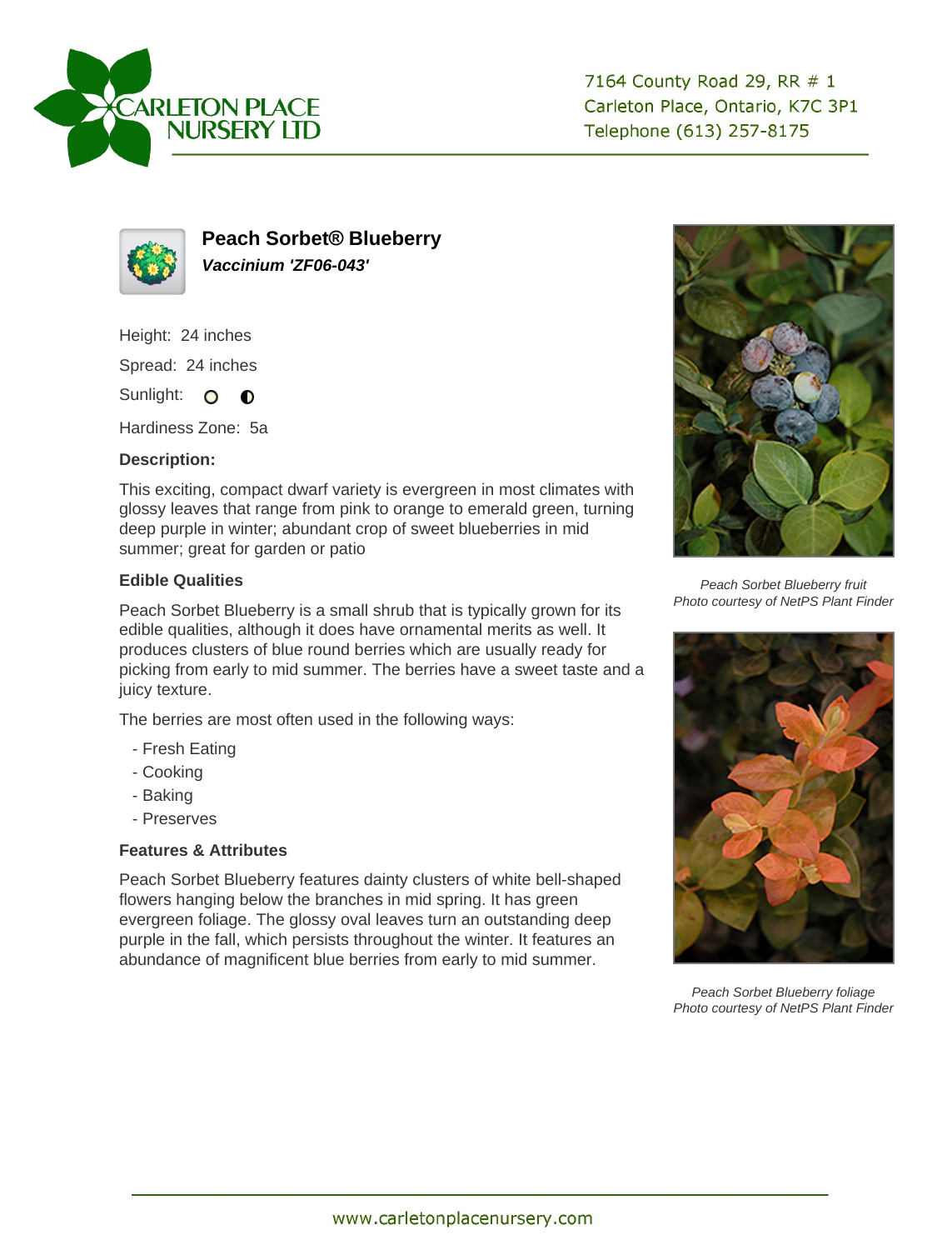



**Peach Sorbet® Blueberry Vaccinium 'ZF06-043'**

Height: 24 inches

Spread: 24 inches

Sunlight: O **O** 

Hardiness Zone: 5a

## **Description:**

This exciting, compact dwarf variety is evergreen in most climates with glossy leaves that range from pink to orange to emerald green, turning deep purple in winter; abundant crop of sweet blueberries in mid summer; great for garden or patio

## **Edible Qualities**

Peach Sorbet Blueberry is a small shrub that is typically grown for its edible qualities, although it does have ornamental merits as well. It produces clusters of blue round berries which are usually ready for picking from early to mid summer. The berries have a sweet taste and a juicy texture.

The berries are most often used in the following ways:

- Fresh Eating
- Cooking
- Baking
- Preserves

## **Features & Attributes**

Peach Sorbet Blueberry features dainty clusters of white bell-shaped flowers hanging below the branches in mid spring. It has green evergreen foliage. The glossy oval leaves turn an outstanding deep purple in the fall, which persists throughout the winter. It features an abundance of magnificent blue berries from early to mid summer.



Peach Sorbet Blueberry fruit Photo courtesy of NetPS Plant Finder



Peach Sorbet Blueberry foliage Photo courtesy of NetPS Plant Finder